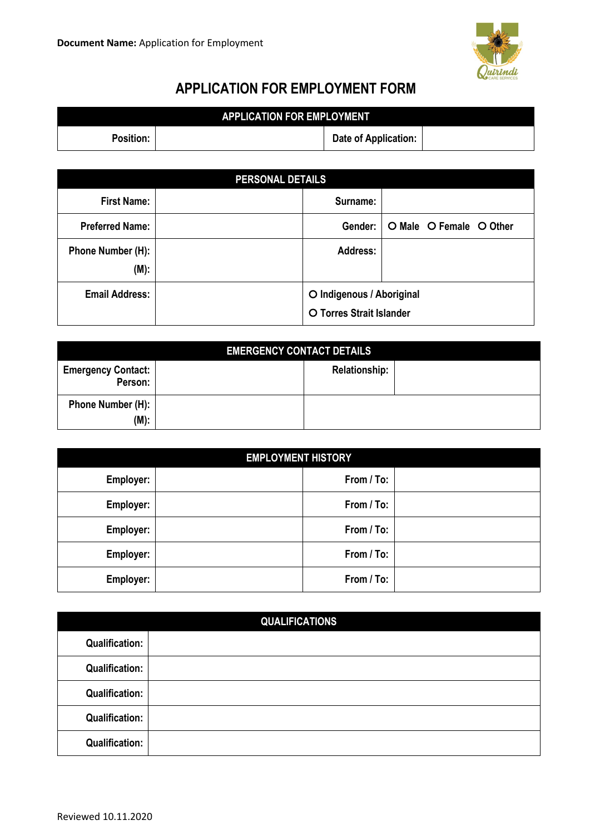

## **APPLICATION FOR EMPLOYMENT FORM**

| <b>APPLICATION FOR EMPLOYMENT.</b> |  |                      |  |
|------------------------------------|--|----------------------|--|
| <b>Position:</b>                   |  | Date of Application: |  |

| <b>PERSONAL DETAILS</b>   |  |                                                       |                         |  |
|---------------------------|--|-------------------------------------------------------|-------------------------|--|
| <b>First Name:</b>        |  | Surname:                                              |                         |  |
| <b>Preferred Name:</b>    |  | Gender:                                               | O Male O Female O Other |  |
| Phone Number (H):<br>(M): |  | <b>Address:</b>                                       |                         |  |
| <b>Email Address:</b>     |  | O Indigenous / Aboriginal<br>O Torres Strait Islander |                         |  |

| <b>EMERGENCY CONTACT DETAILS</b>     |  |                      |  |
|--------------------------------------|--|----------------------|--|
| <b>Emergency Contact:</b><br>Person: |  | <b>Relationship:</b> |  |
| Phone Number (H):<br>$(M)$ :         |  |                      |  |

| <b>EMPLOYMENT HISTORY</b> |  |            |  |
|---------------------------|--|------------|--|
| Employer:                 |  | From / To: |  |
| Employer:                 |  | From / To: |  |
| Employer:                 |  | From / To: |  |
| Employer:                 |  | From / To: |  |
| Employer:                 |  | From / To: |  |

| <b>QUALIFICATIONS</b> |  |  |
|-----------------------|--|--|
| <b>Qualification:</b> |  |  |
| <b>Qualification:</b> |  |  |
| <b>Qualification:</b> |  |  |
| <b>Qualification:</b> |  |  |
| <b>Qualification:</b> |  |  |